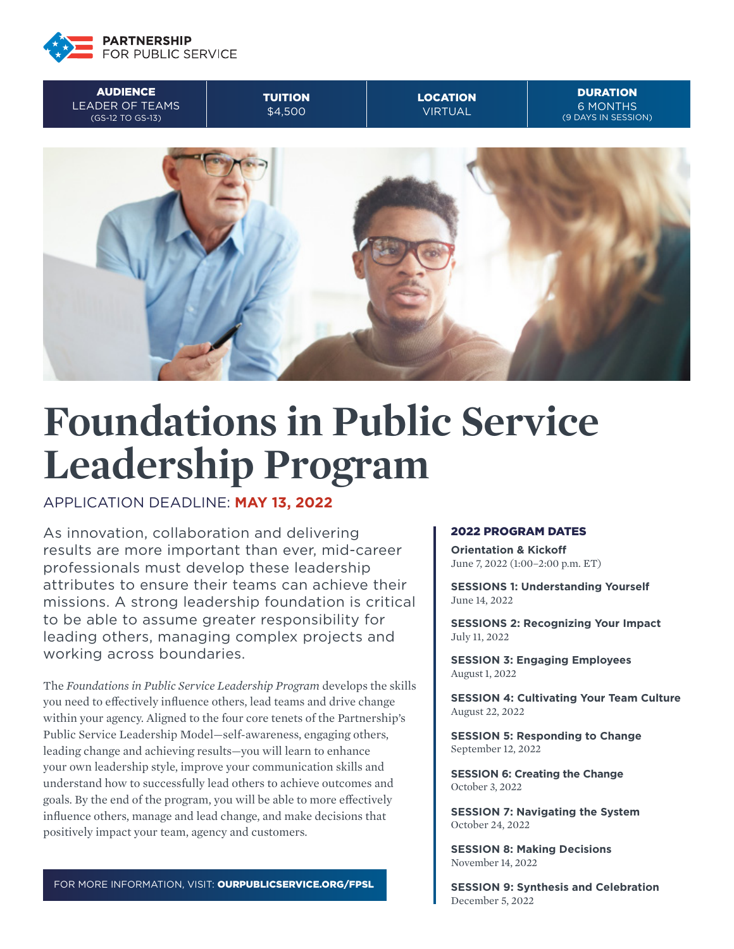

**AUDIENCE** LEADER OF TEAMS (GS-12 TO GS-13)

TUITION \$4,500

LOCATION VIRTUAL

**DURATION** 6 MONTHS (9 DAYS IN SESSION)



# **Foundations in Public Service Leadership Program**

APPLICATION DEADLINE: **MAY 13, 2022**

As innovation, collaboration and delivering results are more important than ever, mid-career professionals must develop these leadership attributes to ensure their teams can achieve their missions. A strong leadership foundation is critical to be able to assume greater responsibility for leading others, managing complex projects and working across boundaries.

The *Foundations in Public Service Leadership Program* develops the skills you need to effectively influence others, lead teams and drive change within your agency. Aligned to the four core tenets of the Partnership's Public Service Leadership Model—self-awareness, engaging others, leading change and achieving results—you will learn to enhance your own leadership style, improve your communication skills and understand how to successfully lead others to achieve outcomes and goals. By the end of the program, you will be able to more effectively influence others, manage and lead change, and make decisions that positively impact your team, agency and customers.

FOR MORE INFORMATION, VISIT: OURPUBLICSERVICE.ORG/FPSL

#### 2022 PROGRAM DATES

**Orientation & Kickoff** June 7, 2022 (1:00–2:00 p.m. ET)

**SESSIONS 1: Understanding Yourself** June 14, 2022

**SESSIONS 2: Recognizing Your Impact** July 11, 2022

**SESSION 3: Engaging Employees** August 1, 2022

**SESSION 4: Cultivating Your Team Culture** August 22, 2022

**SESSION 5: Responding to Change**  September 12, 2022

**SESSION 6: Creating the Change** October 3, 2022

**SESSION 7: Navigating the System** October 24, 2022

**SESSION 8: Making Decisions** November 14, 2022

**SESSION 9: Synthesis and Celebration** December 5, 2022